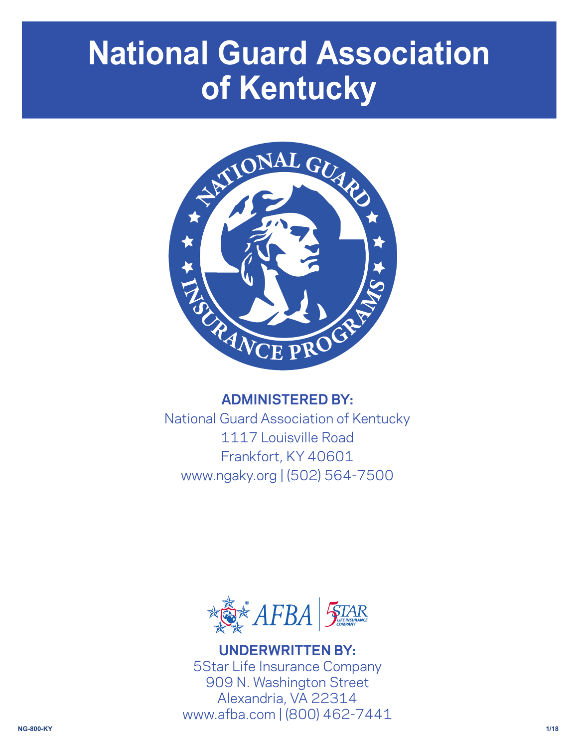# **National Guard Association of Kentucky**



# **ADMINISTERED BY:**

National Guard Association of Kentucky 1117 Louisville Road Frankfort, KY 40601 www.ngaky.org | (502) 564-7500



**UNDERWRITTEN BY:** 5Star Life Insurance Company 909 N. Washington Street Alexandria, VA 22314 www.afba.com | (800) 462-7441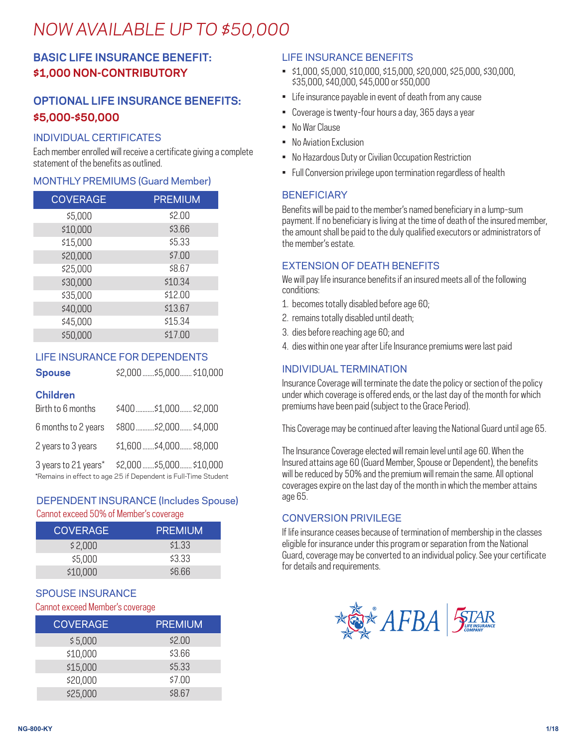# *NOW AVAILABLE UP TO \$50,000*

# **BASIC LIFE INSURANCE BENEFIT: \$1,000 NON-CONTRIBUTORY**

# **OPTIONAL LIFE INSURANCE BENEFITS: \$5,000-\$50,000**

#### INDIVIDUAL CERTIFICATES

Each member enrolled will receive a certificate giving a complete statement of the benefits as outlined.

#### MONTHLY PREMIUMS (Guard Member)

| <b>COVERAGE</b> | <b>PREMIUM</b> |
|-----------------|----------------|
| \$5,000         | \$2.00         |
| \$10,000        | \$3.66         |
| \$15,000        | \$5.33         |
| \$20,000        | \$7.00         |
| \$25,000        | \$8.67         |
| \$30,000        | \$10.34        |
| \$35,000        | \$12.00        |
| \$40,000        | \$13.67        |
| \$45,000        | \$15.34        |
| \$50,000        | \$17.00        |

#### LIFE INSURANCE FOR DEPENDENTS

**Spouse** \$2,000 .......\$5,000....... \$10,000

| <b>Spouse</b> | \$2,000  \$5,000 |
|---------------|------------------|
|               |                  |

#### **Children**

| Birth to 6 months  | \$400\$1,000 \$2,000                            |
|--------------------|-------------------------------------------------|
|                    | 6 months to 2 years \$800  \$2,000  \$4,000     |
| 2 years to 3 years | \$1,600  \$4,000   \$8,000                      |
|                    | 3 years to 21 years* \$2,000  \$5,000  \$10,000 |

\*Remains in effect to age 25 if Dependent is Full-Time Student

#### DEPENDENT INSURANCE (Includes Spouse) Cannot exceed 50% of Member's coverage

| <b>COVERAGE</b> | <b>PREMIUM</b> |
|-----------------|----------------|
| \$2,000         | \$1,33         |
| \$5,000         | \$3.33         |
| \$10,000        | \$6.66         |

### SPOUSE INSURANCE

#### Cannot exceed Member's coverage

| <b>COVERAGE</b> | <b>PREMIUM</b> |
|-----------------|----------------|
| \$5,000         | \$2.00         |
| \$10,000        | \$3.66         |
| \$15,000        | \$5.33         |
| \$20,000        | \$7.00         |
| \$25,000        | \$8.67         |

#### LIFE INSURANCE BENEFITS

- \$1,000, \$5,000, \$10,000, \$15,000, \$20,000, \$25,000, \$30,000, \$35,000, \$40,000, \$45,000 or \$50,000
- Life insurance payable in event of death from any cause
- Coverage is twenty-four hours a day, 365 days a year
- No War Clause
- No Aviation Exclusion
- No Hazardous Duty or Civilian Occupation Restriction
- Full Conversion privilege upon termination regardless of health

#### **BENEFICIARY**

Benefits will be paid to the member's named beneficiary in a lump-sum payment. If no beneficiary is living at the time of death of the insured member, the amount shall be paid to the duly qualified executors or administrators of the member's estate.

#### EXTENSION OF DEATH BENEFITS

We will pay life insurance benefits if an insured meets all of the following conditions:

- 1. becomes totally disabled before age 60;
- 2. remains totally disabled until death;
- 3. dies before reaching age 60; and
- 4. dies within one year after Life Insurance premiums were last paid

#### INDIVIDUAL TERMINATION

Insurance Coverage will terminate the date the policy or section of the policy under which coverage is offered ends, or the last day of the month for which premiums have been paid (subject to the Grace Period).

This Coverage may be continued after leaving the National Guard until age 65.

The Insurance Coverage elected will remain level until age 60. When the Insured attains age 60 (Guard Member, Spouse or Dependent), the benefits will be reduced by 50% and the premium will remain the same. All optional coverages expire on the last day of the month in which the member attains age 65.

#### CONVERSION PRIVILEGE

If life insurance ceases because of termination of membership in the classes eligible for insurance under this program or separation from the National Guard, coverage may be converted to an individual policy. See your certificate for details and requirements.

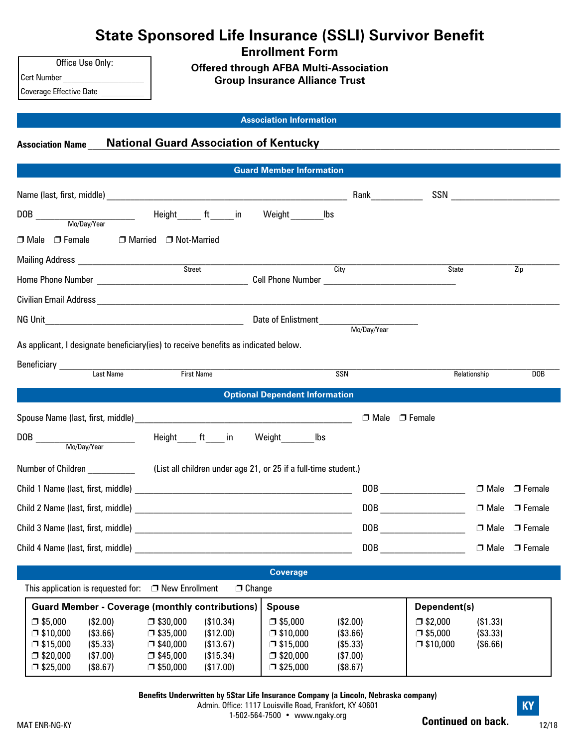| <b>State Sponsored Life Insurance (SSLI) Survivor Benefit</b> |
|---------------------------------------------------------------|
|                                                               |

**Enrollment Form**

**Offered through AFBA Multi-Association**

**Group Insurance Alliance Trust**

Coverage Effective Date

Cert Number

Office Use Only:

**Association Information**

## **Association Name** \_\_\_\_\_\_\_\_\_\_\_\_\_\_\_\_\_\_\_\_\_\_\_\_\_\_\_\_\_\_\_\_\_\_\_\_\_\_\_\_\_\_\_\_\_\_\_\_\_\_\_\_\_\_\_\_\_\_\_\_\_\_\_\_\_\_\_\_\_\_\_\_\_\_\_\_\_\_\_\_\_\_\_\_\_\_\_\_\_\_\_\_\_\_\_\_\_\_\_\_ **National Guard Association of Kentucky**

|                                                                                    |                         | <b>Guard Member Information</b>       |                  |                                                                                                                                                                                                                                                                                                                                                                     |              |                           |
|------------------------------------------------------------------------------------|-------------------------|---------------------------------------|------------------|---------------------------------------------------------------------------------------------------------------------------------------------------------------------------------------------------------------------------------------------------------------------------------------------------------------------------------------------------------------------|--------------|---------------------------|
|                                                                                    |                         |                                       | Rank <b>Rank</b> |                                                                                                                                                                                                                                                                                                                                                                     |              |                           |
|                                                                                    | Height ft in            | Weight lbs                            |                  |                                                                                                                                                                                                                                                                                                                                                                     |              |                           |
| $\Box$ Male $\Box$ Female                                                          | □ Married □ Not-Married |                                       |                  |                                                                                                                                                                                                                                                                                                                                                                     |              |                           |
|                                                                                    | Street                  | $\overline{City}$                     |                  | <b>State</b>                                                                                                                                                                                                                                                                                                                                                        |              | Zip                       |
|                                                                                    |                         |                                       |                  |                                                                                                                                                                                                                                                                                                                                                                     |              |                           |
|                                                                                    |                         |                                       |                  |                                                                                                                                                                                                                                                                                                                                                                     |              |                           |
| As applicant, I designate beneficiary(ies) to receive benefits as indicated below. | First Name              |                                       | SSN              |                                                                                                                                                                                                                                                                                                                                                                     | Relationship | <b>DOB</b>                |
|                                                                                    |                         | <b>Optional Dependent Information</b> |                  |                                                                                                                                                                                                                                                                                                                                                                     |              |                           |
|                                                                                    |                         |                                       | □ Male □ Female  |                                                                                                                                                                                                                                                                                                                                                                     |              |                           |
|                                                                                    | Height ft in Weight     | lbs                                   |                  |                                                                                                                                                                                                                                                                                                                                                                     |              |                           |
| Number of Children (List all children under age 21, or 25 if a full-time student.) |                         |                                       |                  |                                                                                                                                                                                                                                                                                                                                                                     |              |                           |
|                                                                                    |                         |                                       |                  | $\begin{picture}(20,10) \put(0,0){\vector(1,0){100}} \put(15,0){\vector(1,0){100}} \put(15,0){\vector(1,0){100}} \put(15,0){\vector(1,0){100}} \put(15,0){\vector(1,0){100}} \put(15,0){\vector(1,0){100}} \put(15,0){\vector(1,0){100}} \put(15,0){\vector(1,0){100}} \put(15,0){\vector(1,0){100}} \put(15,0){\vector(1,0){100}} \put(15,0){\vector(1,0){100}} \$ |              | $\Box$ Male $\Box$ Female |
|                                                                                    |                         |                                       |                  | DOB _____________________                                                                                                                                                                                                                                                                                                                                           |              | □ Male □ Female           |
|                                                                                    |                         |                                       |                  |                                                                                                                                                                                                                                                                                                                                                                     |              | □ Male □ Female           |
|                                                                                    |                         |                                       |                  | DOB ________________________                                                                                                                                                                                                                                                                                                                                        |              | □ Male □ Female           |
|                                                                                    |                         | <b>Coverage</b>                       |                  |                                                                                                                                                                                                                                                                                                                                                                     |              |                           |
| This application is requested for: $\Box$ New Enrollment                           |                         | $\Box$ Change                         |                  |                                                                                                                                                                                                                                                                                                                                                                     |              |                           |

| <b>Guard Member - Coverage (monthly contributions)   Spouse</b> |           |                    |           | Dependent(s)       |          |                    |           |  |
|-----------------------------------------------------------------|-----------|--------------------|-----------|--------------------|----------|--------------------|-----------|--|
| $\square$ \$5,000                                               | (\$2.00)  | $\square$ \$30,000 | (\$10.34) | $\square$ \$5,000  | (\$2.00) | $\square$ \$2,000  | (\$1.33)  |  |
| l ⊡ \$10.000                                                    | ( \$3.66) | $\square$ \$35,000 | (\$12.00) | $\square$ \$10.000 | (\$3.66) | 000.55 ⊟           | (\$3.33)  |  |
| l □ \$15,000                                                    | (\$5.33)  | $\square$ \$40,000 | (\$13.67) | $\square$ \$15,000 | (\$5.33) | $\square$ \$10,000 | ( \$6.66) |  |
| □ \$20,000                                                      | (\$7.00)  | $\square$ \$45,000 | (\$15.34) | $\square$ \$20,000 | (\$7.00) |                    |           |  |
| $\Box$ \$25,000                                                 | (\$8.67)  | $\square$ \$50,000 | (\$17.00) | 00,25,000          | (\$8.67) |                    |           |  |

**Benefits Underwritten by 5Star Life Insurance Company (a Lincoln, Nebraska company)**

Admin. Office: 1117 Louisville Road, Frankfort, KY 40601 1-502-564-7500 • www.ngaky.org

**Continued on back.**

**KY**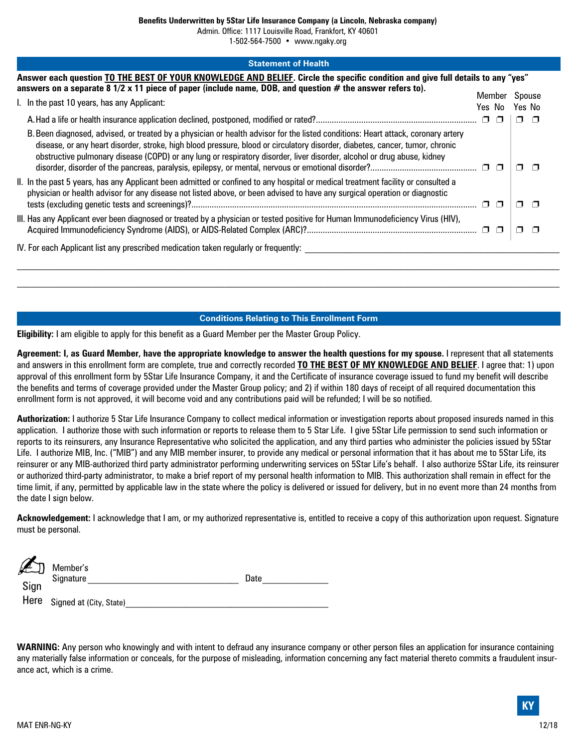**Benefits Underwritten by 5Star Life Insurance Company (a Lincoln, Nebraska company)**

Admin. Office: 1117 Louisville Road, Frankfort, KY 40601

1-502-564-7500 • www.ngaky.org

| <b>Statement of Health</b>                                                                                                                                                                                                                                                                                                                                                                  |        |                  |
|---------------------------------------------------------------------------------------------------------------------------------------------------------------------------------------------------------------------------------------------------------------------------------------------------------------------------------------------------------------------------------------------|--------|------------------|
| Answer each question TO THE BEST OF YOUR KNOWLEDGE AND BELIEF. Circle the specific condition and give full details to any "yes"<br>answers on a separate 8 $1/2$ x 11 piece of paper (include name, DOB, and question $#$ the answer refers to).                                                                                                                                            | Member |                  |
| I. In the past 10 years, has any Applicant:                                                                                                                                                                                                                                                                                                                                                 | Yes No | Spouse<br>Yes No |
|                                                                                                                                                                                                                                                                                                                                                                                             |        | $\Box$<br>□      |
| B. Been diagnosed, advised, or treated by a physician or health advisor for the listed conditions: Heart attack, coronary artery<br>disease, or any heart disorder, stroke, high blood pressure, blood or circulatory disorder, diabetes, cancer, tumor, chronic<br>obstructive pulmonary disease (COPD) or any lung or respiratory disorder, liver disorder, alcohol or drug abuse, kidney |        | ⊓<br>$\Box$      |
| II. In the past 5 years, has any Applicant been admitted or confined to any hospital or medical treatment facility or consulted a<br>physician or health advisor for any disease not listed above, or been advised to have any surgical operation or diagnostic                                                                                                                             | O      | П                |
| III. Has any Applicant ever been diagnosed or treated by a physician or tested positive for Human Immunodeficiency Virus (HIV),                                                                                                                                                                                                                                                             |        |                  |
| IV. For each Applicant list any prescribed medication taken regularly or frequently:                                                                                                                                                                                                                                                                                                        |        |                  |

#### **Conditions Relating to This Enrollment Form**

**Eligibility:** I am eligible to apply for this benefit as a Guard Member per the Master Group Policy.

**Agreement: I, as Guard Member, have the appropriate knowledge to answer the health questions for my spouse.** I represent that all statements and answers in this enrollment form are complete, true and correctly recorded **TO THE BEST OF MY KNOWLEDGE AND BELIEF**. I agree that: 1) upon approval of this enrollment form by 5Star Life Insurance Company, it and the Certificate of insurance coverage issued to fund my benefit will describe the benefits and terms of coverage provided under the Master Group policy; and 2) if within 180 days of receipt of all required documentation this enrollment form is not approved, it will become void and any contributions paid will be refunded; I will be so notified.

**Authorization:** I authorize 5 Star Life Insurance Company to collect medical information or investigation reports about proposed insureds named in this application. I authorize those with such information or reports to release them to 5 Star Life. I give 5Star Life permission to send such information or reports to its reinsurers, any Insurance Representative who solicited the application, and any third parties who administer the policies issued by 5Star Life. I authorize MIB, Inc. ("MIB") and any MIB member insurer, to provide any medical or personal information that it has about me to 5Star Life, its reinsurer or any MIB-authorized third party administrator performing underwriting services on 5Star Life's behalf. I also authorize 5Star Life, its reinsurer or authorized third-party administrator, to make a brief report of my personal health information to MIB. This authorization shall remain in effect for the time limit, if any, permitted by applicable law in the state where the policy is delivered or issued for delivery, but in no event more than 24 months from the date I sign below.

**Acknowledgement:** I acknowledge that I am, or my authorized representative is, entitled to receive a copy of this authorization upon request. Signature must be personal.

| Sign | Member's<br>Signature        | Date |
|------|------------------------------|------|
|      | Here Signed at (City, State) |      |

**WARNING:** Any person who knowingly and with intent to defraud any insurance company or other person files an application for insurance containing any materially false information or conceals, for the purpose of misleading, information concerning any fact material thereto commits a fraudulent insurance act, which is a crime.